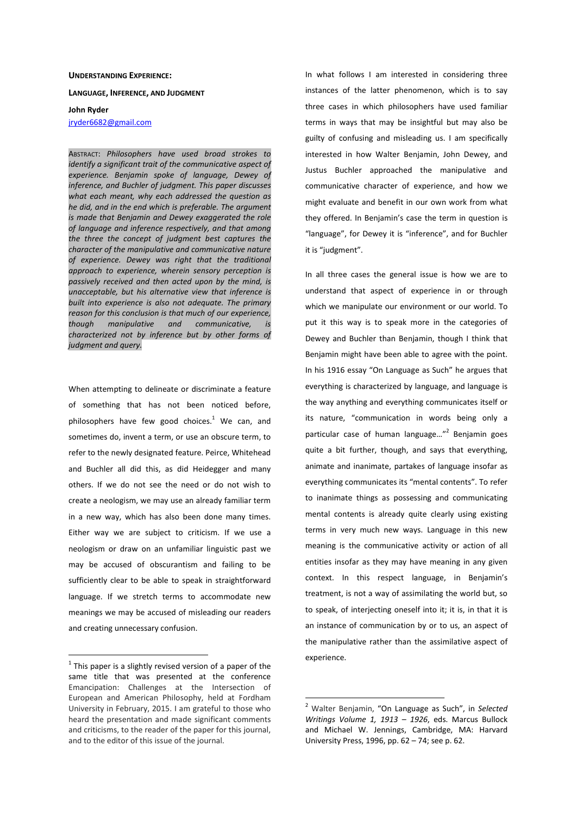## **UNDERSTANDING EXPERIENCE:**

**LANGUAGE, INFERENCE, AND JUDGMENT**

**John Ryder** 

jryder6682@gmail.com

ABSTRACT: *Philosophers have used broad strokes to identify a significant trait of the communicative aspect of experience. Benjamin spoke of language, Dewey of inference, and Buchler of judgment. This paper discusses what each meant, why each addressed the question as he did, and in the end which is preferable. The argument is made that Benjamin and Dewey exaggerated the role of language and inference respectively, and that among the three the concept of judgment best captures the character of the manipulative and communicative nature of experience. Dewey was right that the traditional approach to experience, wherein sensory perception is passively received and then acted upon by the mind, is unacceptable, but his alternative view that inference is built into experience is also not adequate. The primary reason for this conclusion is that much of our experience, though manipulative and communicative, is characterized not by inference but by other forms of judgment and query.*

When attempting to delineate or discriminate a feature of something that has not been noticed before, philosophers have few good choices. $1$  We can, and sometimes do, invent a term, or use an obscure term, to refer to the newly designated feature. Peirce, Whitehead and Buchler all did this, as did Heidegger and many others. If we do not see the need or do not wish to create a neologism, we may use an already familiar term in a new way, which has also been done many times. Either way we are subject to criticism. If we use a neologism or draw on an unfamiliar linguistic past we may be accused of obscurantism and failing to be sufficiently clear to be able to speak in straightforward language. If we stretch terms to accommodate new meanings we may be accused of misleading our readers and creating unnecessary confusion.

 $\overline{a}$ 

In what follows I am interested in considering three instances of the latter phenomenon, which is to say three cases in which philosophers have used familiar terms in ways that may be insightful but may also be guilty of confusing and misleading us. I am specifically interested in how Walter Benjamin, John Dewey, and Justus Buchler approached the manipulative and communicative character of experience, and how we might evaluate and benefit in our own work from what they offered. In Benjamin's case the term in question is "language", for Dewey it is "inference", and for Buchler it is "judgment".

In all three cases the general issue is how we are to understand that aspect of experience in or through which we manipulate our environment or our world. To put it this way is to speak more in the categories of Dewey and Buchler than Benjamin, though I think that Benjamin might have been able to agree with the point. In his 1916 essay "On Language as Such" he argues that everything is characterized by language, and language is the way anything and everything communicates itself or its nature, "communication in words being only a particular case of human language..."<sup>2</sup> Benjamin goes quite a bit further, though, and says that everything, animate and inanimate, partakes of language insofar as everything communicates its "mental contents". To refer to inanimate things as possessing and communicating mental contents is already quite clearly using existing terms in very much new ways. Language in this new meaning is the communicative activity or action of all entities insofar as they may have meaning in any given context. In this respect language, in Benjamin's treatment, is not a way of assimilating the world but, so to speak, of interjecting oneself into it; it is, in that it is an instance of communication by or to us, an aspect of the manipulative rather than the assimilative aspect of experience.

 $1$  This paper is a slightly revised version of a paper of the same title that was presented at the conference Emancipation: Challenges at the Intersection of European and American Philosophy, held at Fordham University in February, 2015. I am grateful to those who heard the presentation and made significant comments and criticisms, to the reader of the paper for this journal, and to the editor of this issue of the journal.

<sup>2</sup> Walter Benjamin, "On Language as Such", in *Selected Writings Volume 1, 1913 – 1926*, eds. Marcus Bullock and Michael W. Jennings, Cambridge, MA: Harvard University Press, 1996, pp. 62 – 74; see p. 62.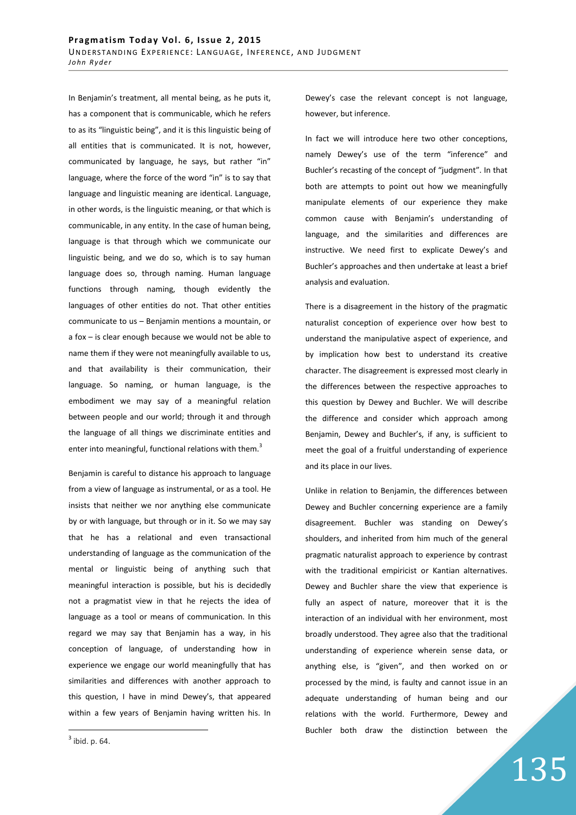In Benjamin's treatment, all mental being, as he puts it, has a component that is communicable, which he refers to as its "linguistic being", and it is this linguistic being of all entities that is communicated. It is not, however, communicated by language, he says, but rather "in" language, where the force of the word "in" is to say that language and linguistic meaning are identical. Language, in other words, is the linguistic meaning, or that which is communicable, in any entity. In the case of human being, language is that through which we communicate our linguistic being, and we do so, which is to say human language does so, through naming. Human language functions through naming, though evidently the languages of other entities do not. That other entities communicate to us – Benjamin mentions a mountain, or a fox – is clear enough because we would not be able to name them if they were not meaningfully available to us, and that availability is their communication, their language. So naming, or human language, is the embodiment we may say of a meaningful relation between people and our world; through it and through the language of all things we discriminate entities and enter into meaningful, functional relations with them.<sup>3</sup>

Benjamin is careful to distance his approach to language from a view of language as instrumental, or as a tool. He insists that neither we nor anything else communicate by or with language, but through or in it. So we may say that he has a relational and even transactional understanding of language as the communication of the mental or linguistic being of anything such that meaningful interaction is possible, but his is decidedly not a pragmatist view in that he rejects the idea of language as a tool or means of communication. In this regard we may say that Benjamin has a way, in his conception of language, of understanding how in experience we engage our world meaningfully that has similarities and differences with another approach to this question, I have in mind Dewey's, that appeared within a few years of Benjamin having written his. In Dewey's case the relevant concept is not language, however, but inference.

In fact we will introduce here two other conceptions, namely Dewey's use of the term "inference" and Buchler's recasting of the concept of "judgment". In that both are attempts to point out how we meaningfully manipulate elements of our experience they make common cause with Benjamin's understanding of language, and the similarities and differences are instructive. We need first to explicate Dewey's and Buchler's approaches and then undertake at least a brief analysis and evaluation.

There is a disagreement in the history of the pragmatic naturalist conception of experience over how best to understand the manipulative aspect of experience, and by implication how best to understand its creative character. The disagreement is expressed most clearly in the differences between the respective approaches to this question by Dewey and Buchler. We will describe the difference and consider which approach among Benjamin, Dewey and Buchler's, if any, is sufficient to meet the goal of a fruitful understanding of experience and its place in our lives.

Unlike in relation to Benjamin, the differences between Dewey and Buchler concerning experience are a family disagreement. Buchler was standing on Dewey's shoulders, and inherited from him much of the general pragmatic naturalist approach to experience by contrast with the traditional empiricist or Kantian alternatives. Dewey and Buchler share the view that experience is fully an aspect of nature, moreover that it is the interaction of an individual with her environment, most broadly understood. They agree also that the traditional understanding of experience wherein sense data, or anything else, is "given", and then worked on or processed by the mind, is faulty and cannot issue in an adequate understanding of human being and our relations with the world. Furthermore, Dewey and Buchler both draw the distinction between the

135

 $3$  ibid. p. 64.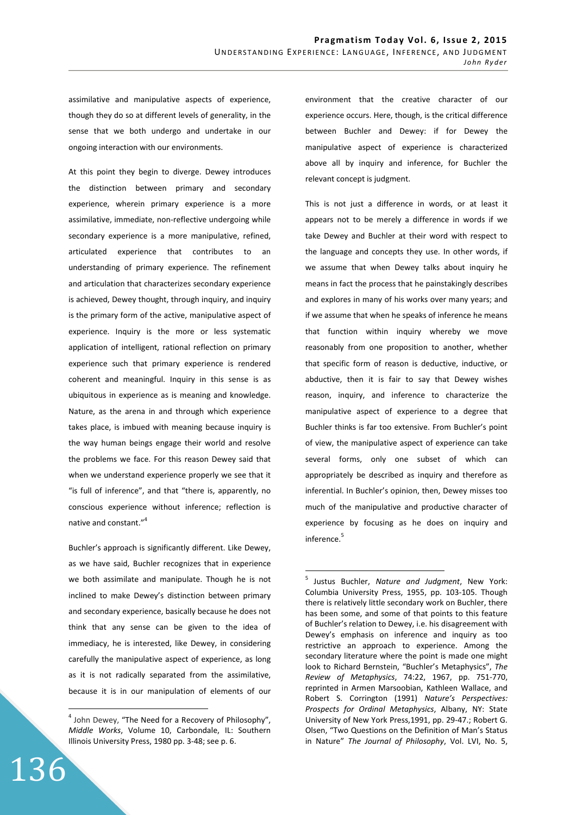assimilative and manipulative aspects of experience, though they do so at different levels of generality, in the sense that we both undergo and undertake in our ongoing interaction with our environments.

At this point they begin to diverge. Dewey introduces the distinction between primary and secondary experience, wherein primary experience is a more assimilative, immediate, non-reflective undergoing while secondary experience is a more manipulative, refined, articulated experience that contributes to an understanding of primary experience. The refinement and articulation that characterizes secondary experience is achieved, Dewey thought, through inquiry, and inquiry is the primary form of the active, manipulative aspect of experience. Inquiry is the more or less systematic application of intelligent, rational reflection on primary experience such that primary experience is rendered coherent and meaningful. Inquiry in this sense is as ubiquitous in experience as is meaning and knowledge. Nature, as the arena in and through which experience takes place, is imbued with meaning because inquiry is the way human beings engage their world and resolve the problems we face. For this reason Dewey said that when we understand experience properly we see that it "is full of inference", and that "there is, apparently, no conscious experience without inference; reflection is native and constant."<sup>4</sup>

Buchler's approach is significantly different. Like Dewey, as we have said, Buchler recognizes that in experience we both assimilate and manipulate. Though he is not inclined to make Dewey's distinction between primary and secondary experience, basically because he does not think that any sense can be given to the idea of immediacy, he is interested, like Dewey, in considering carefully the manipulative aspect of experience, as long as it is not radically separated from the assimilative, because it is in our manipulation of elements of our

136

 $\overline{a}$ 

environment that the creative character of our experience occurs. Here, though, is the critical difference between Buchler and Dewey: if for Dewey the manipulative aspect of experience is characterized above all by inquiry and inference, for Buchler the relevant concept is judgment.

This is not just a difference in words, or at least it appears not to be merely a difference in words if we take Dewey and Buchler at their word with respect to the language and concepts they use. In other words, if we assume that when Dewey talks about inquiry he means in fact the process that he painstakingly describes and explores in many of his works over many years; and if we assume that when he speaks of inference he means that function within inquiry whereby we move reasonably from one proposition to another, whether that specific form of reason is deductive, inductive, or abductive, then it is fair to say that Dewey wishes reason, inquiry, and inference to characterize the manipulative aspect of experience to a degree that Buchler thinks is far too extensive. From Buchler's point of view, the manipulative aspect of experience can take several forms, only one subset of which can appropriately be described as inquiry and therefore as inferential. In Buchler's opinion, then, Dewey misses too much of the manipulative and productive character of experience by focusing as he does on inquiry and inference.<sup>5</sup>

<sup>&</sup>lt;sup>4</sup> John Dewey, "The Need for a Recovery of Philosophy", *Middle Works*, Volume 10, Carbondale, IL: Southern Illinois University Press, 1980 pp. 3-48; see p. 6.

 5 Justus Buchler, *Nature and Judgment*, New York: Columbia University Press, 1955, pp. 103-105. Though there is relatively little secondary work on Buchler, there has been some, and some of that points to this feature of Buchler's relation to Dewey, i.e. his disagreement with Dewey's emphasis on inference and inquiry as too restrictive an approach to experience. Among the secondary literature where the point is made one might look to Richard Bernstein, "Buchler's Metaphysics", *The Review of Metaphysics*, 74:22, 1967, pp. 751-770, reprinted in Armen Marsoobian, Kathleen Wallace, and Robert S. Corrington (1991) *Nature's Perspectives: Prospects for Ordinal Metaphysics*, Albany, NY: State University of New York Press,1991, pp. 29-47.; Robert G. Olsen, "Two Questions on the Definition of Man's Status in Nature" *The Journal of Philosophy*, Vol. LVI, No. 5,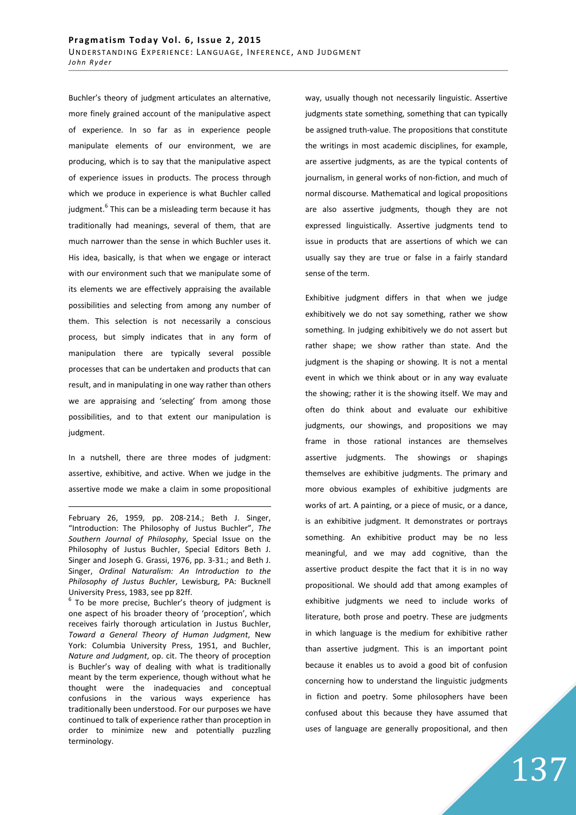Buchler's theory of judgment articulates an alternative, more finely grained account of the manipulative aspect of experience. In so far as in experience people manipulate elements of our environment, we are producing, which is to say that the manipulative aspect of experience issues in products. The process through which we produce in experience is what Buchler called judgment.<sup>6</sup> This can be a misleading term because it has traditionally had meanings, several of them, that are much narrower than the sense in which Buchler uses it. His idea, basically, is that when we engage or interact with our environment such that we manipulate some of its elements we are effectively appraising the available possibilities and selecting from among any number of them. This selection is not necessarily a conscious process, but simply indicates that in any form of manipulation there are typically several possible processes that can be undertaken and products that can result, and in manipulating in one way rather than others we are appraising and 'selecting' from among those possibilities, and to that extent our manipulation is judgment.

In a nutshell, there are three modes of judgment: assertive, exhibitive, and active. When we judge in the assertive mode we make a claim in some propositional

<u>.</u>

<sup>6</sup> To be more precise, Buchler's theory of judgment is one aspect of his broader theory of 'proception', which receives fairly thorough articulation in Justus Buchler, *Toward a General Theory of Human Judgment*, New York: Columbia University Press, 1951, and Buchler, *Nature and Judgment*, op. cit. The theory of proception is Buchler's way of dealing with what is traditionally meant by the term experience, though without what he thought were the inadequacies and conceptual confusions in the various ways experience has traditionally been understood. For our purposes we have continued to talk of experience rather than proception in order to minimize new and potentially puzzling terminology.

way, usually though not necessarily linguistic. Assertive judgments state something, something that can typically be assigned truth-value. The propositions that constitute the writings in most academic disciplines, for example, are assertive judgments, as are the typical contents of journalism, in general works of non-fiction, and much of normal discourse. Mathematical and logical propositions are also assertive judgments, though they are not expressed linguistically. Assertive judgments tend to issue in products that are assertions of which we can usually say they are true or false in a fairly standard sense of the term.

Exhibitive judgment differs in that when we judge exhibitively we do not say something, rather we show something. In judging exhibitively we do not assert but rather shape; we show rather than state. And the judgment is the shaping or showing. It is not a mental event in which we think about or in any way evaluate the showing; rather it is the showing itself. We may and often do think about and evaluate our exhibitive judgments, our showings, and propositions we may frame in those rational instances are themselves assertive judgments. The showings or shapings themselves are exhibitive judgments. The primary and more obvious examples of exhibitive judgments are works of art. A painting, or a piece of music, or a dance, is an exhibitive judgment. It demonstrates or portrays something. An exhibitive product may be no less meaningful, and we may add cognitive, than the assertive product despite the fact that it is in no way propositional. We should add that among examples of exhibitive judgments we need to include works of literature, both prose and poetry. These are judgments in which language is the medium for exhibitive rather than assertive judgment. This is an important point because it enables us to avoid a good bit of confusion concerning how to understand the linguistic judgments in fiction and poetry. Some philosophers have been confused about this because they have assumed that uses of language are generally propositional, and then

February 26, 1959, pp. 208-214.; Beth J. Singer, "Introduction: The Philosophy of Justus Buchler", *The Southern Journal of Philosophy*, Special Issue on the Philosophy of Justus Buchler, Special Editors Beth J. Singer and Joseph G. Grassi, 1976, pp. 3-31.; and Beth J. Singer, *Ordinal Naturalism: An Introduction to the Philosophy of Justus Buchler*, Lewisburg, PA: Bucknell University Press, 1983, see pp 82ff.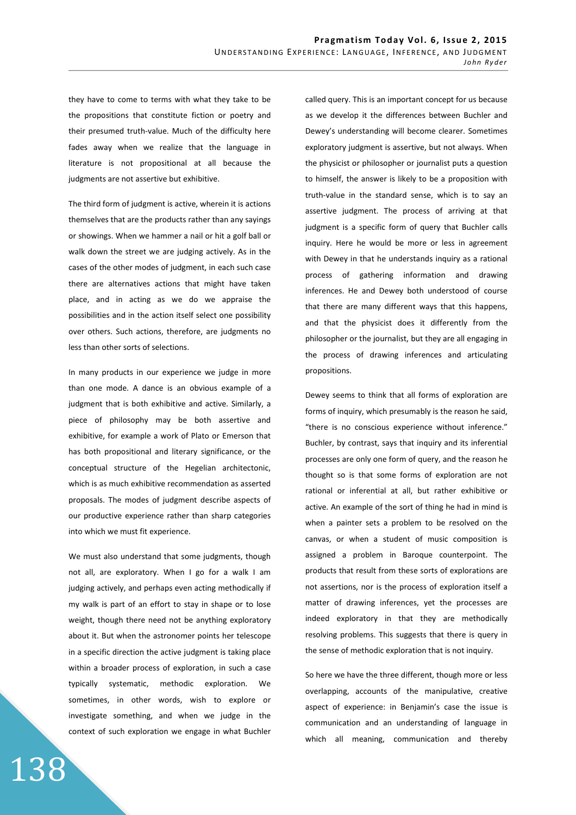they have to come to terms with what they take to be the propositions that constitute fiction or poetry and their presumed truth-value. Much of the difficulty here fades away when we realize that the language in literature is not propositional at all because the judgments are not assertive but exhibitive.

The third form of judgment is active, wherein it is actions themselves that are the products rather than any sayings or showings. When we hammer a nail or hit a golf ball or walk down the street we are judging actively. As in the cases of the other modes of judgment, in each such case there are alternatives actions that might have taken place, and in acting as we do we appraise the possibilities and in the action itself select one possibility over others. Such actions, therefore, are judgments no less than other sorts of selections.

In many products in our experience we judge in more than one mode. A dance is an obvious example of a judgment that is both exhibitive and active. Similarly, a piece of philosophy may be both assertive and exhibitive, for example a work of Plato or Emerson that has both propositional and literary significance, or the conceptual structure of the Hegelian architectonic, which is as much exhibitive recommendation as asserted proposals. The modes of judgment describe aspects of our productive experience rather than sharp categories into which we must fit experience.

We must also understand that some judgments, though not all, are exploratory. When I go for a walk I am judging actively, and perhaps even acting methodically if my walk is part of an effort to stay in shape or to lose weight, though there need not be anything exploratory about it. But when the astronomer points her telescope in a specific direction the active judgment is taking place within a broader process of exploration, in such a case typically systematic, methodic exploration. We sometimes, in other words, wish to explore or investigate something, and when we judge in the context of such exploration we engage in what Buchler

138

called query. This is an important concept for us because as we develop it the differences between Buchler and Dewey's understanding will become clearer. Sometimes exploratory judgment is assertive, but not always. When the physicist or philosopher or journalist puts a question to himself, the answer is likely to be a proposition with truth-value in the standard sense, which is to say an assertive judgment. The process of arriving at that judgment is a specific form of query that Buchler calls inquiry. Here he would be more or less in agreement with Dewey in that he understands inquiry as a rational process of gathering information and drawing inferences. He and Dewey both understood of course that there are many different ways that this happens, and that the physicist does it differently from the philosopher or the journalist, but they are all engaging in the process of drawing inferences and articulating propositions.

Dewey seems to think that all forms of exploration are forms of inquiry, which presumably is the reason he said, "there is no conscious experience without inference." Buchler, by contrast, says that inquiry and its inferential processes are only one form of query, and the reason he thought so is that some forms of exploration are not rational or inferential at all, but rather exhibitive or active. An example of the sort of thing he had in mind is when a painter sets a problem to be resolved on the canvas, or when a student of music composition is assigned a problem in Baroque counterpoint. The products that result from these sorts of explorations are not assertions, nor is the process of exploration itself a matter of drawing inferences, yet the processes are indeed exploratory in that they are methodically resolving problems. This suggests that there is query in the sense of methodic exploration that is not inquiry.

So here we have the three different, though more or less overlapping, accounts of the manipulative, creative aspect of experience: in Benjamin's case the issue is communication and an understanding of language in which all meaning, communication and thereby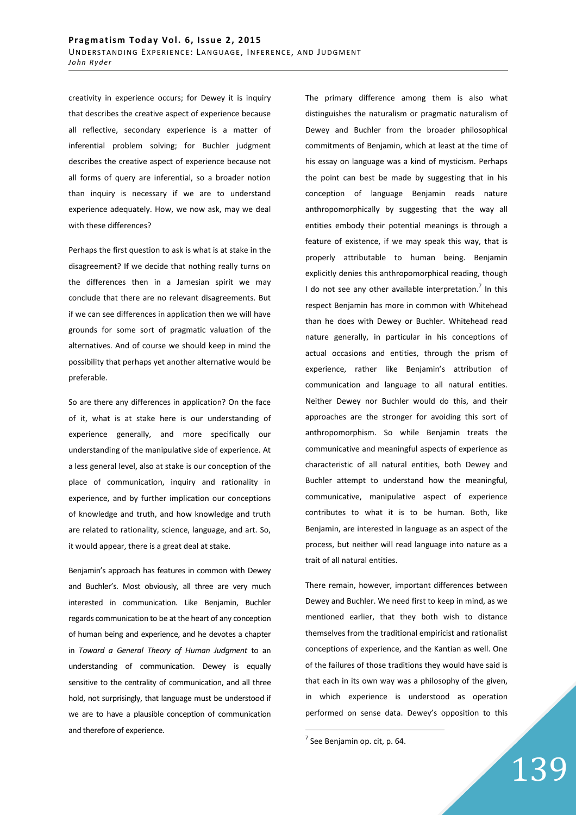creativity in experience occurs; for Dewey it is inquiry that describes the creative aspect of experience because all reflective, secondary experience is a matter of inferential problem solving; for Buchler judgment describes the creative aspect of experience because not all forms of query are inferential, so a broader notion than inquiry is necessary if we are to understand experience adequately. How, we now ask, may we deal with these differences?

Perhaps the first question to ask is what is at stake in the disagreement? If we decide that nothing really turns on the differences then in a Jamesian spirit we may conclude that there are no relevant disagreements. But if we can see differences in application then we will have grounds for some sort of pragmatic valuation of the alternatives. And of course we should keep in mind the possibility that perhaps yet another alternative would be preferable.

So are there any differences in application? On the face of it, what is at stake here is our understanding of experience generally, and more specifically our understanding of the manipulative side of experience. At a less general level, also at stake is our conception of the place of communication, inquiry and rationality in experience, and by further implication our conceptions of knowledge and truth, and how knowledge and truth are related to rationality, science, language, and art. So, it would appear, there is a great deal at stake.

Benjamin's approach has features in common with Dewey and Buchler's. Most obviously, all three are very much interested in communication. Like Benjamin, Buchler regards communication to be at the heart of any conception of human being and experience, and he devotes a chapter in *Toward a General Theory of Human Judgment* to an understanding of communication. Dewey is equally sensitive to the centrality of communication, and all three hold, not surprisingly, that language must be understood if we are to have a plausible conception of communication and therefore of experience.

The primary difference among them is also what distinguishes the naturalism or pragmatic naturalism of Dewey and Buchler from the broader philosophical commitments of Benjamin, which at least at the time of his essay on language was a kind of mysticism. Perhaps the point can best be made by suggesting that in his conception of language Benjamin reads nature anthropomorphically by suggesting that the way all entities embody their potential meanings is through a feature of existence, if we may speak this way, that is properly attributable to human being. Benjamin explicitly denies this anthropomorphical reading, though I do not see any other available interpretation.<sup>7</sup> In this respect Benjamin has more in common with Whitehead than he does with Dewey or Buchler. Whitehead read nature generally, in particular in his conceptions of actual occasions and entities, through the prism of experience, rather like Benjamin's attribution of communication and language to all natural entities. Neither Dewey nor Buchler would do this, and their approaches are the stronger for avoiding this sort of anthropomorphism. So while Benjamin treats the communicative and meaningful aspects of experience as characteristic of all natural entities, both Dewey and Buchler attempt to understand how the meaningful, communicative, manipulative aspect of experience contributes to what it is to be human. Both, like Benjamin, are interested in language as an aspect of the process, but neither will read language into nature as a trait of all natural entities.

There remain, however, important differences between Dewey and Buchler. We need first to keep in mind, as we mentioned earlier, that they both wish to distance themselves from the traditional empiricist and rationalist conceptions of experience, and the Kantian as well. One of the failures of those traditions they would have said is that each in its own way was a philosophy of the given, in which experience is understood as operation performed on sense data. Dewey's opposition to this

 $^7$  See Benjamin op. cit, p. 64.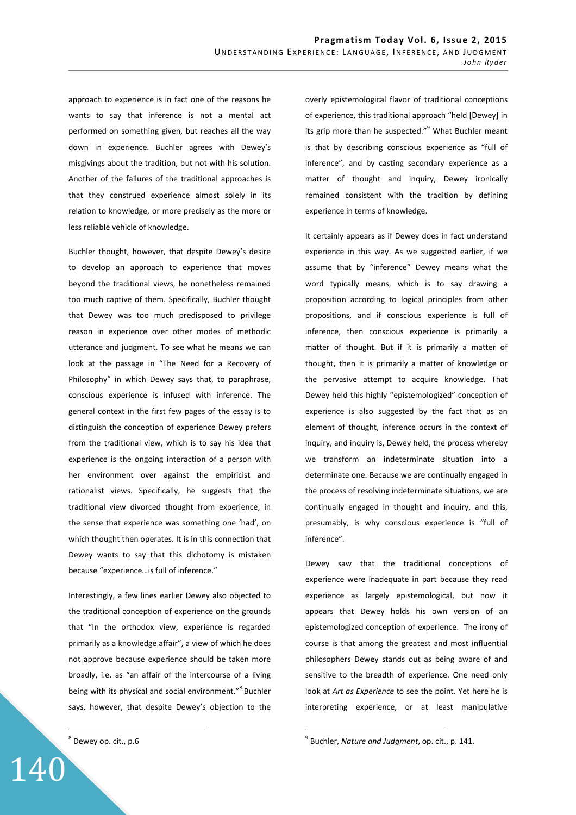approach to experience is in fact one of the reasons he wants to say that inference is not a mental act performed on something given, but reaches all the way down in experience. Buchler agrees with Dewey's misgivings about the tradition, but not with his solution. Another of the failures of the traditional approaches is that they construed experience almost solely in its relation to knowledge, or more precisely as the more or less reliable vehicle of knowledge.

Buchler thought, however, that despite Dewey's desire to develop an approach to experience that moves beyond the traditional views, he nonetheless remained too much captive of them. Specifically, Buchler thought that Dewey was too much predisposed to privilege reason in experience over other modes of methodic utterance and judgment. To see what he means we can look at the passage in "The Need for a Recovery of Philosophy" in which Dewey says that, to paraphrase, conscious experience is infused with inference. The general context in the first few pages of the essay is to distinguish the conception of experience Dewey prefers from the traditional view, which is to say his idea that experience is the ongoing interaction of a person with her environment over against the empiricist and rationalist views. Specifically, he suggests that the traditional view divorced thought from experience, in the sense that experience was something one 'had', on which thought then operates. It is in this connection that Dewey wants to say that this dichotomy is mistaken because "experience…is full of inference."

Interestingly, a few lines earlier Dewey also objected to the traditional conception of experience on the grounds that "In the orthodox view, experience is regarded primarily as a knowledge affair", a view of which he does not approve because experience should be taken more broadly, i.e. as "an affair of the intercourse of a living being with its physical and social environment."<sup>8</sup> Buchler says, however, that despite Dewey's objection to the

 $^8$  Dewey op. cit., p.6

140

 $\overline{a}$ 

overly epistemological flavor of traditional conceptions of experience, this traditional approach "held [Dewey] in its grip more than he suspected."<sup>9</sup> What Buchler meant is that by describing conscious experience as "full of inference", and by casting secondary experience as a matter of thought and inquiry, Dewey ironically remained consistent with the tradition by defining experience in terms of knowledge.

It certainly appears as if Dewey does in fact understand experience in this way. As we suggested earlier, if we assume that by "inference" Dewey means what the word typically means, which is to say drawing a proposition according to logical principles from other propositions, and if conscious experience is full of inference, then conscious experience is primarily a matter of thought. But if it is primarily a matter of thought, then it is primarily a matter of knowledge or the pervasive attempt to acquire knowledge. That Dewey held this highly "epistemologized" conception of experience is also suggested by the fact that as an element of thought, inference occurs in the context of inquiry, and inquiry is, Dewey held, the process whereby we transform an indeterminate situation into a determinate one. Because we are continually engaged in the process of resolving indeterminate situations, we are continually engaged in thought and inquiry, and this, presumably, is why conscious experience is "full of inference".

Dewey saw that the traditional conceptions of experience were inadequate in part because they read experience as largely epistemological, but now it appears that Dewey holds his own version of an epistemologized conception of experience. The irony of course is that among the greatest and most influential philosophers Dewey stands out as being aware of and sensitive to the breadth of experience. One need only look at *Art as Experience* to see the point. Yet here he is interpreting experience, or at least manipulative

<sup>9</sup> Buchler, *Nature and Judgment*, op. cit., p. 141.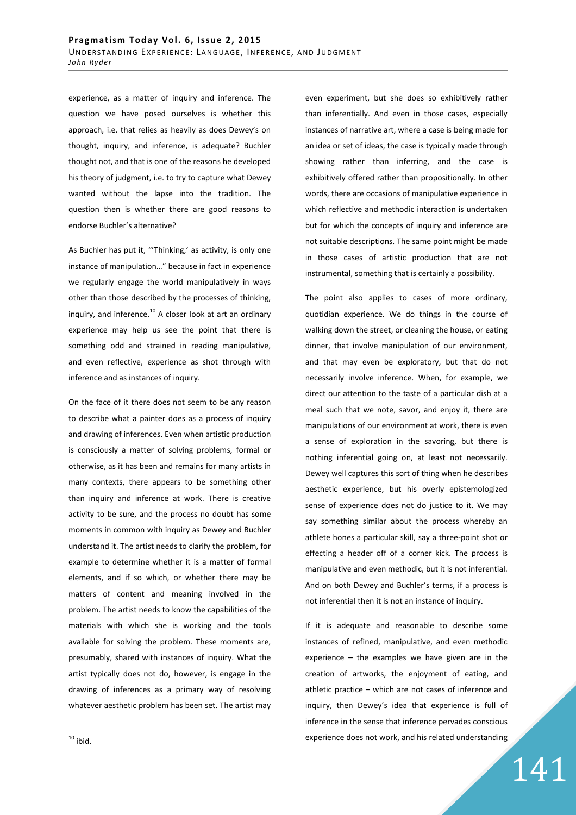experience, as a matter of inquiry and inference. The question we have posed ourselves is whether this approach, i.e. that relies as heavily as does Dewey's on thought, inquiry, and inference, is adequate? Buchler thought not, and that is one of the reasons he developed his theory of judgment, i.e. to try to capture what Dewey wanted without the lapse into the tradition. The question then is whether there are good reasons to endorse Buchler's alternative?

As Buchler has put it, "Thinking,' as activity, is only one instance of manipulation…" because in fact in experience we regularly engage the world manipulatively in ways other than those described by the processes of thinking, inquiry, and inference. $^{10}$  A closer look at art an ordinary experience may help us see the point that there is something odd and strained in reading manipulative, and even reflective, experience as shot through with inference and as instances of inquiry.

On the face of it there does not seem to be any reason to describe what a painter does as a process of inquiry and drawing of inferences. Even when artistic production is consciously a matter of solving problems, formal or otherwise, as it has been and remains for many artists in many contexts, there appears to be something other than inquiry and inference at work. There is creative activity to be sure, and the process no doubt has some moments in common with inquiry as Dewey and Buchler understand it. The artist needs to clarify the problem, for example to determine whether it is a matter of formal elements, and if so which, or whether there may be matters of content and meaning involved in the problem. The artist needs to know the capabilities of the materials with which she is working and the tools available for solving the problem. These moments are, presumably, shared with instances of inquiry. What the artist typically does not do, however, is engage in the drawing of inferences as a primary way of resolving whatever aesthetic problem has been set. The artist may even experiment, but she does so exhibitively rather than inferentially. And even in those cases, especially instances of narrative art, where a case is being made for an idea or set of ideas, the case is typically made through showing rather than inferring, and the case is exhibitively offered rather than propositionally. In other words, there are occasions of manipulative experience in which reflective and methodic interaction is undertaken but for which the concepts of inquiry and inference are not suitable descriptions. The same point might be made in those cases of artistic production that are not instrumental, something that is certainly a possibility.

The point also applies to cases of more ordinary, quotidian experience. We do things in the course of walking down the street, or cleaning the house, or eating dinner, that involve manipulation of our environment, and that may even be exploratory, but that do not necessarily involve inference. When, for example, we direct our attention to the taste of a particular dish at a meal such that we note, savor, and enjoy it, there are manipulations of our environment at work, there is even a sense of exploration in the savoring, but there is nothing inferential going on, at least not necessarily. Dewey well captures this sort of thing when he describes aesthetic experience, but his overly epistemologized sense of experience does not do justice to it. We may say something similar about the process whereby an athlete hones a particular skill, say a three-point shot or effecting a header off of a corner kick. The process is manipulative and even methodic, but it is not inferential. And on both Dewey and Buchler's terms, if a process is not inferential then it is not an instance of inquiry.

If it is adequate and reasonable to describe some instances of refined, manipulative, and even methodic experience – the examples we have given are in the creation of artworks, the enjoyment of eating, and athletic practice – which are not cases of inference and inquiry, then Dewey's idea that experience is full of inference in the sense that inference pervades conscious experience does not work, and his related understanding

141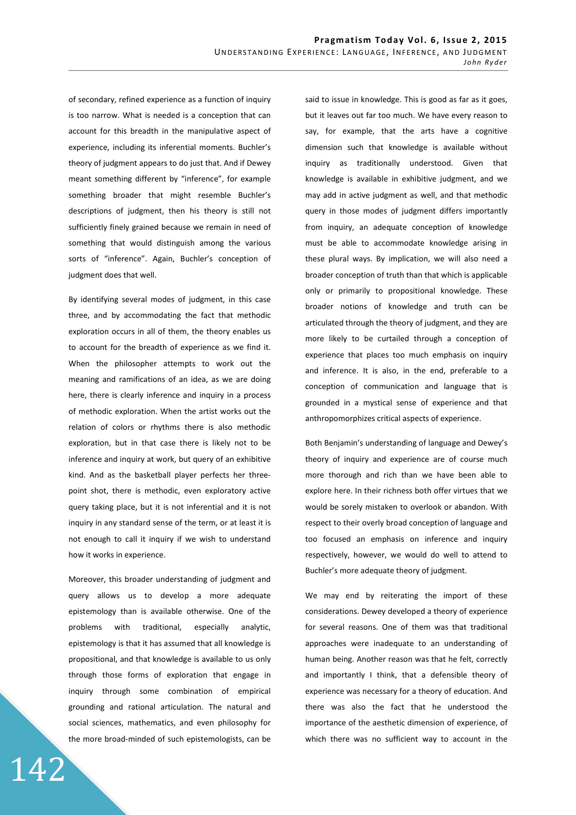of secondary, refined experience as a function of inquiry is too narrow. What is needed is a conception that can account for this breadth in the manipulative aspect of experience, including its inferential moments. Buchler's theory of judgment appears to do just that. And if Dewey meant something different by "inference", for example something broader that might resemble Buchler's descriptions of judgment, then his theory is still not sufficiently finely grained because we remain in need of something that would distinguish among the various sorts of "inference". Again, Buchler's conception of judgment does that well.

By identifying several modes of judgment, in this case three, and by accommodating the fact that methodic exploration occurs in all of them, the theory enables us to account for the breadth of experience as we find it. When the philosopher attempts to work out the meaning and ramifications of an idea, as we are doing here, there is clearly inference and inquiry in a process of methodic exploration. When the artist works out the relation of colors or rhythms there is also methodic exploration, but in that case there is likely not to be inference and inquiry at work, but query of an exhibitive kind. And as the basketball player perfects her threepoint shot, there is methodic, even exploratory active query taking place, but it is not inferential and it is not inquiry in any standard sense of the term, or at least it is not enough to call it inquiry if we wish to understand how it works in experience.

Moreover, this broader understanding of judgment and query allows us to develop a more adequate epistemology than is available otherwise. One of the problems with traditional, especially analytic, epistemology is that it has assumed that all knowledge is propositional, and that knowledge is available to us only through those forms of exploration that engage in inquiry through some combination of empirical grounding and rational articulation. The natural and social sciences, mathematics, and even philosophy for the more broad-minded of such epistemologists, can be

142

said to issue in knowledge. This is good as far as it goes, but it leaves out far too much. We have every reason to say, for example, that the arts have a cognitive dimension such that knowledge is available without inquiry as traditionally understood. Given that knowledge is available in exhibitive judgment, and we may add in active judgment as well, and that methodic query in those modes of judgment differs importantly from inquiry, an adequate conception of knowledge must be able to accommodate knowledge arising in these plural ways. By implication, we will also need a broader conception of truth than that which is applicable only or primarily to propositional knowledge. These broader notions of knowledge and truth can be articulated through the theory of judgment, and they are more likely to be curtailed through a conception of experience that places too much emphasis on inquiry and inference. It is also, in the end, preferable to a conception of communication and language that is grounded in a mystical sense of experience and that anthropomorphizes critical aspects of experience.

Both Benjamin's understanding of language and Dewey's theory of inquiry and experience are of course much more thorough and rich than we have been able to explore here. In their richness both offer virtues that we would be sorely mistaken to overlook or abandon. With respect to their overly broad conception of language and too focused an emphasis on inference and inquiry respectively, however, we would do well to attend to Buchler's more adequate theory of judgment.

We may end by reiterating the import of these considerations. Dewey developed a theory of experience for several reasons. One of them was that traditional approaches were inadequate to an understanding of human being. Another reason was that he felt, correctly and importantly I think, that a defensible theory of experience was necessary for a theory of education. And there was also the fact that he understood the importance of the aesthetic dimension of experience, of which there was no sufficient way to account in the